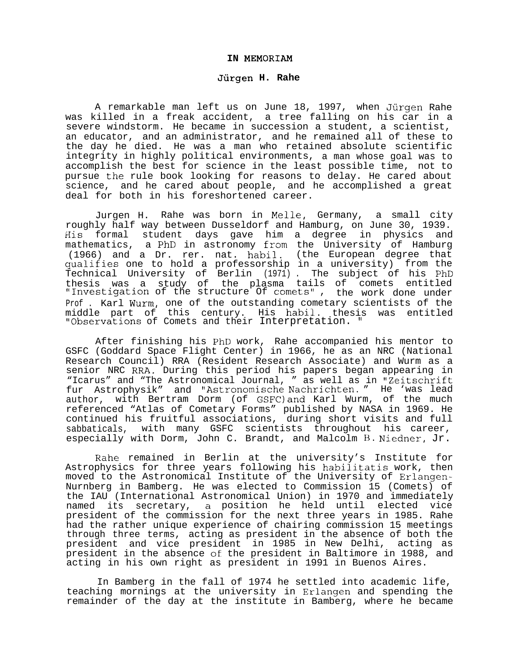## **IN MEMORIAM**

## **Jurgen H. Rahe**

A remarkable man left us on June 18, 1997, when Jiirgen Rahe was killed in a freak accident, a tree falling on his car in a severe windstorm. He became in succession a student, a scientist, an educator, and an administrator, and he remained all of these to the day he died. He was a man who retained absolute scientific integrity in highly political environments, a man whose goal was to accomplish the best for science in the least possible time, not to pursue the rule book looking for reasons to delay. He cared about science, and he cared about people, and he accomplished a great deal for both in his foreshortened career.

Jurgen H. Rahe was born in Melle, Germany, a small city roughly half way between Dusseldorf and Hamburg, on June 30, 1939. His formal student days gave him a degree in physics and mathematics, a PhD in astronomy from the University of Hamburg (1966) and a Dr. rer. nat. habil. (the European degree that qualifies one to hold a professorship in a university) from the Technical University of Berlin (1971) . The subject of his PhD thesis was a study of the plasma tails of comets entitled "Investigation of the structure Of comets" , the work done under Prof . Karl Wurm, one of the outstanding cometary scientists of the middle part of this century. His habil. thesis was entitled "Observations of Comets and their Interpretation. "

After finishing his PhD work, Rahe accompanied his mentor to GSFC (Goddard Space Flight Center) in 1966, he as an NRC (National Research Council) RRA (Resident Research Associate) and Wurm as a senior NRC RRA. During this period his papers began appearing in "Icarus" and "The Astronomical Journal, " as well as in "Zeitschrift fur Astrophysik" and "Astronomische Nachrichten. " He 'was lead author, with Bertram Dorm (of GSFC)and Karl Wurm, of the much referenced "Atlas of Cometary Forms" published by NASA in 1969. He continued his fruitful associations, during short visits and full sabbaticals, with many GSFC scientists throughout his career, especially with Dorm, John C. Brandt, and Malcolm B. Niedner, Jr.

Rahe remained in Berlin at the university's Institute for Astrophysics for three years following his habilitatis work, then moved to the Astronomical Institute of the University of Erlangen-Nurnberg in Bamberg. He was elected to Commission 15 (Comets) of the IAU (International Astronomical Union) in 1970 and immediately named its secretary, a position he held until elected vice president of the commission for the next three years in 1985. Rahe had the rather unique experience of chairing commission 15 meetings through three terms, acting as president in the absence of both the president and vice president in 1985 in New Delhi, acting as president in the absence of the president in Baltimore in 1988, and acting in his own right as president in 1991 in Buenos Aires.

In Bamberg in the fall of 1974 he settled into academic life, teaching mornings at the university in Erlangen and spending the remainder of the day at the institute in Bamberg, where he became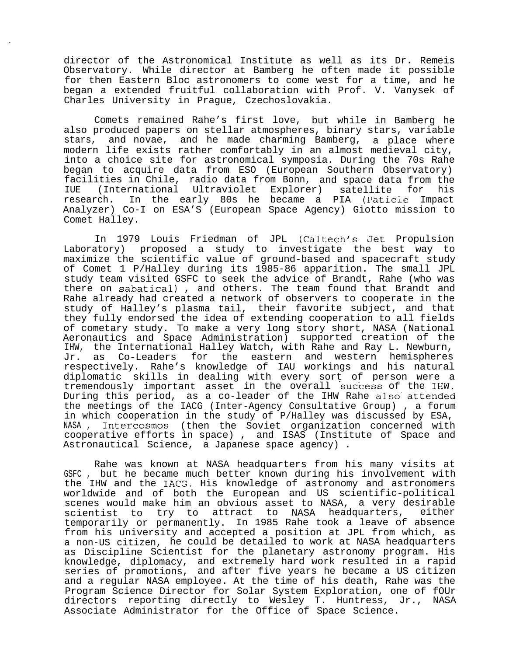director of the Astronomical Institute as well as its Dr. Remeis Observatory. While director at Bamberg he often made it possible for then Eastern Bloc astronomers to come west for a time, and he began a extended fruitful collaboration with Prof. V. Vanysek of Charles University in Prague, Czechoslovakia.

Comets remained Rahe's first love, but while in Bamberg he also produced papers on stellar atmospheres, binary stars, variable stars, and novae, and he made charming Bamberg, a place where modern life exists rather comfortably in an almost medieval city, into a choice site for astronomical symposia. During the 70s Rahe began to acquire data from ESO (European Southern Observatory) facilities in Chile, radio data from Bonn, and space data from the IUE (International Ultraviolet Explorer) satellite for his research. In the early 80s he became a PIA (Paticle Impact Analyzer) Co-I on ESA'S (European Space Agency) Giotto mission to Comet Halley.

In 1979 Louis Friedman of JPL (Caltech's Jet Propulsion Laboratory) proposed a study to investigate the best way to maximize the scientific value of ground-based and spacecraft study of Comet 1 P/Halley during its 1985-86 apparition. The small JPL study team visited GSFC to seek the advice of Brandt, Rahe (who was there on sabatical) , and others. The team found that Brandt and Rahe already had created a network of observers to cooperate in the study of Halley's plasma tail, their favorite subject, and that they fully endorsed the idea of extending cooperation to all fields of cometary study. To make a very long story short, NASA (National Aeronautics and Space Administration) supported creation of the IHW, the International Halley Watch, with Rahe and Ray L. Newburn, Jr. as Co-Leaders for the eastern and western hemispheres respectively. Rahe's knowledge of IAU workings and his natural diplomatic skills in dealing with every sort of person were a tremendously important asset in the overall success of the IHW. During this period, as a co-leader of the IHW Rahe also attended the meetings of the IACG (Inter-Agency Consultative Group) , a forum in which cooperation in the study of P/Halley was discussed by ESA, NASA , Intercosmos (then the Soviet organization concerned with cooperative efforts in space) , and ISAS (Institute of Space and Astronautical Science, a Japanese space agency) .

Rahe was known at NASA headquarters from his many visits at GSFC , but he became much better known during his involvement with the IHW and the IACG. His knowledge of astronomy and astronomers worldwide and of both the European and US scientific-political scenes would make him an obvious asset to NASA, a very desirable scientist to try to attract to NASA headquarters, either temporarily or permanently. In 1985 Rahe took a leave of absence from his university and accepted a position at JPL from which, as a non-US citizen, he could be detailed to work at NASA headquarters as Discipline Scientist for the planetary astronomy program. His knowledge, diplomacy, and extremely hard work resulted in a rapid series of promotions, and after five years he became a US citizen and a regular NASA employee. At the time of his death, Rahe was the Program Science Director for Solar System Exploration, one of fOUr directors reporting directly to Wesley T. Huntress, Jr., NASA Associate Administrator for the Office of Space Science.